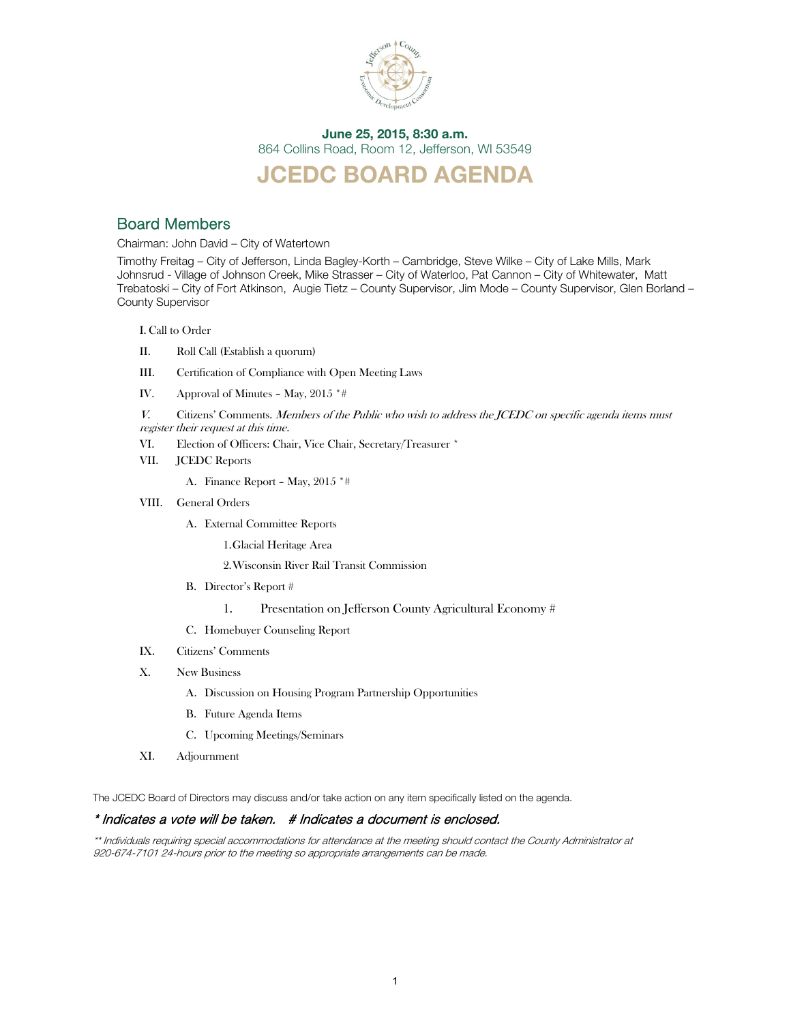

### June 25, 2015, 8:30 a.m. 864 Collins Road, Room 12, Jefferson, WI 53549 JCEDC BOARD AGENDA

### Board Members

Chairman: John David – City of Watertown

Timothy Freitag – City of Jefferson, Linda Bagley-Korth – Cambridge, Steve Wilke – City of Lake Mills, Mark Johnsrud - Village of Johnson Creek, Mike Strasser – City of Waterloo, Pat Cannon – City of Whitewater, Matt Trebatoski – City of Fort Atkinson, Augie Tietz – County Supervisor, Jim Mode – County Supervisor, Glen Borland – County Supervisor

I. Call to Order

- II. Roll Call (Establish a quorum)
- III. Certification of Compliance with Open Meeting Laws
- IV. Approval of Minutes May, 2015 \*#

V. Citizens' Comments. Members of the Public who wish to address the JCEDC on specific agenda items must register their request at this time.

- VI. Election of Officers: Chair, Vice Chair, Secretary/Treasurer \*
- VII. JCEDC Reports

A. Finance Report – May, 2015 \*#

- VIII. General Orders
	- A. External Committee Reports
		- 1.Glacial Heritage Area

2.Wisconsin River Rail Transit Commission

- B. Director's Report #
	- 1. Presentation on Jefferson County Agricultural Economy #
- C. Homebuyer Counseling Report
- IX. Citizens' Comments
- X. New Business
	- A. Discussion on Housing Program Partnership Opportunities
	- B. Future Agenda Items
	- C. Upcoming Meetings/Seminars
- XI. Adjournment

The JCEDC Board of Directors may discuss and/or take action on any item specifically listed on the agenda.

### \* Indicates a vote will be taken. # Indicates a document is enclosed.

\*\* Individuals requiring special accommodations for attendance at the meeting should contact the County Administrator at 920-674-7101 24-hours prior to the meeting so appropriate arrangements can be made.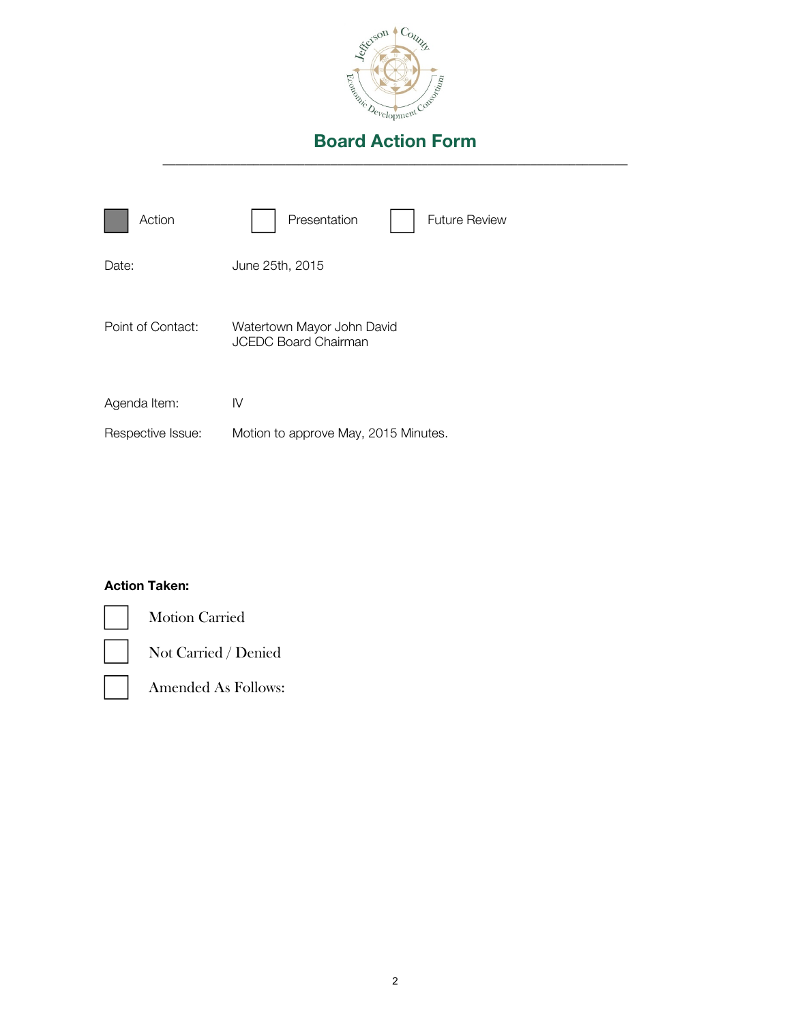

### Board Action Form \_\_\_\_\_\_\_\_\_\_\_\_\_\_\_\_\_\_\_\_\_\_\_\_\_\_\_\_\_\_\_\_\_\_\_\_\_\_\_\_\_\_\_\_\_\_\_\_\_\_\_\_\_\_\_\_\_\_\_\_\_\_\_\_\_\_\_\_\_\_\_\_

| Action            | Presentation<br><b>Future Review</b>                      |
|-------------------|-----------------------------------------------------------|
| Date:             | June 25th, 2015                                           |
| Point of Contact: | Watertown Mayor John David<br><b>JCEDC Board Chairman</b> |
| Agenda Item:      | IV                                                        |
| Respective Issue: | Motion to approve May, 2015 Minutes.                      |

### Action Taken:



Motion Carried

Not Carried / Denied

Amended As Follows: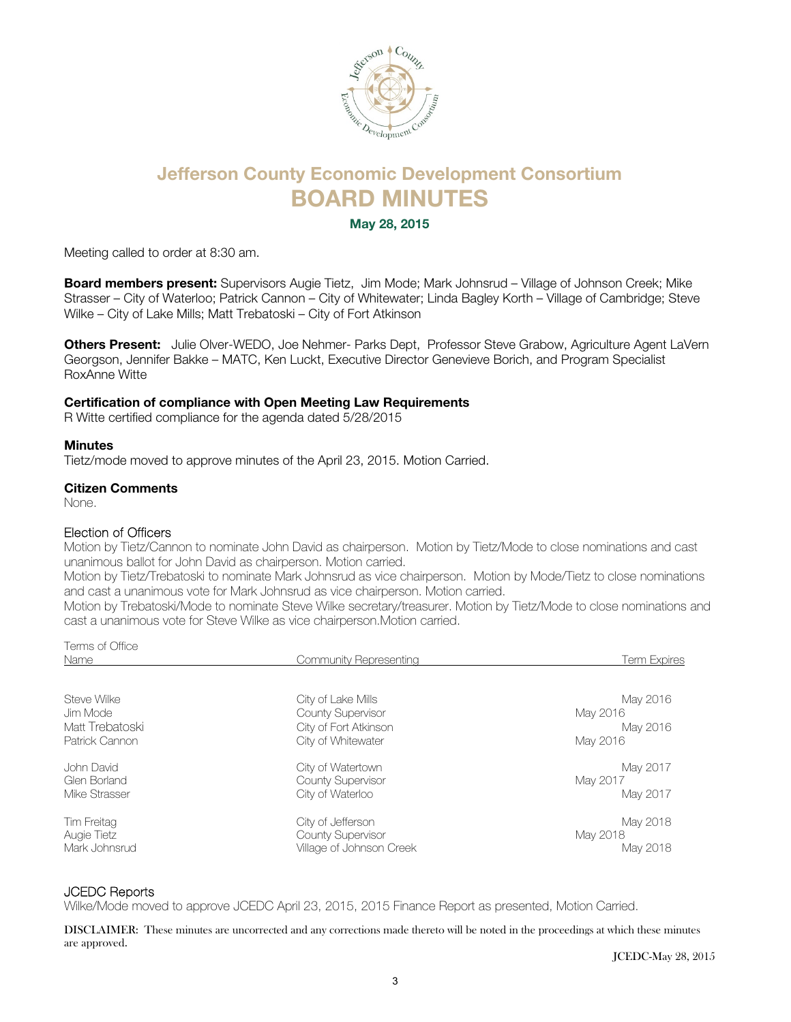

## Jefferson County Economic Development Consortium BOARD MINUTES

May 28, 2015

Meeting called to order at 8:30 am.

Board members present: Supervisors Augie Tietz, Jim Mode; Mark Johnsrud - Village of Johnson Creek; Mike Strasser – City of Waterloo; Patrick Cannon – City of Whitewater; Linda Bagley Korth – Village of Cambridge; Steve Wilke – City of Lake Mills; Matt Trebatoski – City of Fort Atkinson

Others Present: Julie Olver-WEDO, Joe Nehmer- Parks Dept, Professor Steve Grabow, Agriculture Agent LaVern Georgson, Jennifer Bakke – MATC, Ken Luckt, Executive Director Genevieve Borich, and Program Specialist RoxAnne Witte

### Certification of compliance with Open Meeting Law Requirements

R Witte certified compliance for the agenda dated 5/28/2015

### **Minutes**

Tietz/mode moved to approve minutes of the April 23, 2015. Motion Carried.

### Citizen Comments

None.

### Election of Officers

Motion by Tietz/Cannon to nominate John David as chairperson. Motion by Tietz/Mode to close nominations and cast unanimous ballot for John David as chairperson. Motion carried.

Motion by Tietz/Trebatoski to nominate Mark Johnsrud as vice chairperson. Motion by Mode/Tietz to close nominations and cast a unanimous vote for Mark Johnsrud as vice chairperson. Motion carried.

Motion by Trebatoski/Mode to nominate Steve Wilke secretary/treasurer. Motion by Tietz/Mode to close nominations and cast a unanimous vote for Steve Wilke as vice chairperson.Motion carried.

| Terms of Office<br>Name | Community Representing   | <b>Term Expires</b> |  |
|-------------------------|--------------------------|---------------------|--|
| Steve Wilke             | City of Lake Mills       | May 2016            |  |
| Jim Mode                | County Supervisor        | May 2016            |  |
| Matt Trebatoski         | City of Fort Atkinson    | May 2016            |  |
| Patrick Cannon          | City of Whitewater       | May 2016            |  |
| John David              | City of Watertown        | May 2017            |  |
| Glen Borland            | County Supervisor        | May 2017            |  |
| Mike Strasser           | City of Waterloo         | May 2017            |  |
| Tim Freitag             | City of Jefferson        | May 2018            |  |
| Augie Tietz             | County Supervisor        | May 2018            |  |
| Mark Johnsrud           | Village of Johnson Creek | May 2018            |  |

### JCEDC Reports

Wilke/Mode moved to approve JCEDC April 23, 2015, 2015 Finance Report as presented, Motion Carried.

DISCLAIMER: These minutes are uncorrected and any corrections made thereto will be noted in the proceedings at which these minutes are approved.

JCEDC-May 28, 2015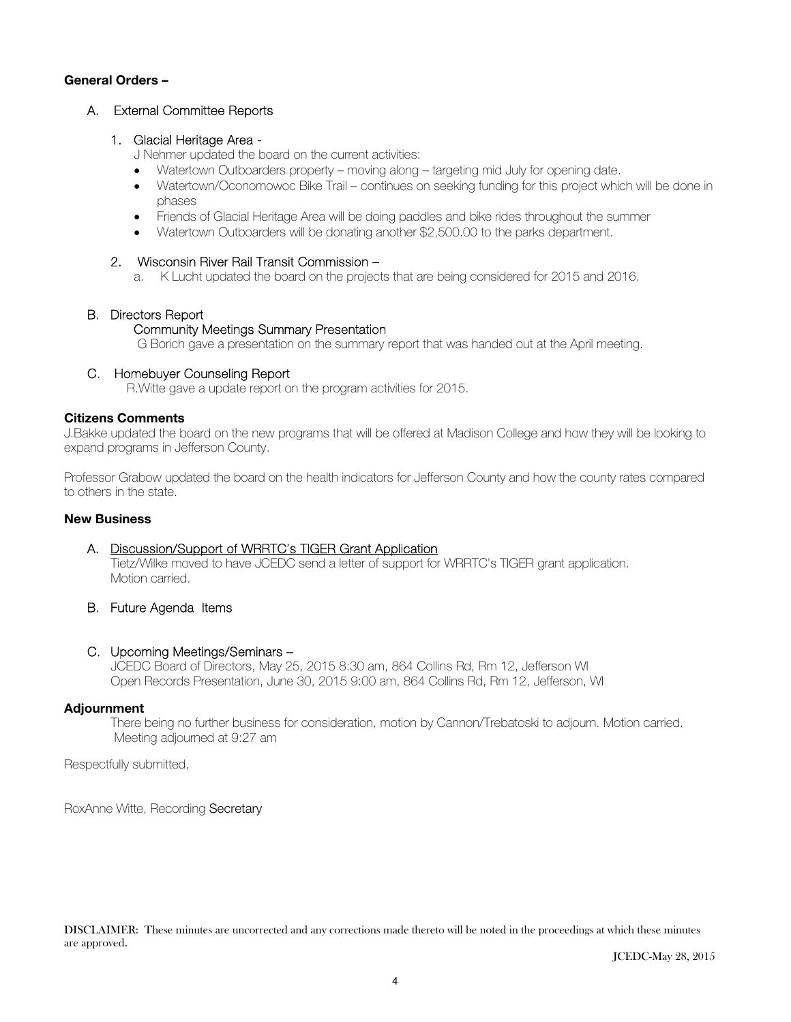### General Orders –

### A. External Committee Reports

### 1. Glacial Heritage Area -

J Nehmer updated the board on the current activities:

- Watertown Outboarders property moving along targeting mid July for opening date.
- Watertown/Oconomowoc Bike Trail continues on seeking funding for this project which will be done in phases
- Friends of Glacial Heritage Area will be doing paddles and bike rides throughout the summer
- Watertown Outboarders will be donating another \$2,500.00 to the parks department.

### 2. Wisconsin River Rail Transit Commission –

a. K Lucht updated the board on the projects that are being considered for 2015 and 2016.

### B. Directors Report

### Community Meetings Summary Presentation

G Borich gave a presentation on the summary report that was handed out at the April meeting.

### C. Homebuyer Counseling Report

R.Witte gave a update report on the program activities for 2015.

### Citizens Comments

J.Bakke updated the board on the new programs that will be offered at Madison College and how they will be looking to expand programs in Jefferson County.

Professor Grabow updated the board on the health indicators for Jefferson County and how the county rates compared to others in the state.

### New Business

### A. Discussion/Support of WRRTC's TIGER Grant Application

Tietz/Wilke moved to have JCEDC send a letter of support for WRRTC's TIGER grant application. Motion carried.

### B. Future Agenda Items

### C. Upcoming Meetings/Seminars –

JCEDC Board of Directors, May 25, 2015 8:30 am, 864 Collins Rd, Rm 12, Jefferson WI Open Records Presentation, June 30, 2015 9:00 am, 864 Collins Rd, Rm 12, Jefferson, WI

### Adjournment

There being no further business for consideration, motion by Cannon/Trebatoski to adjourn. Motion carried. Meeting adjourned at 9:27 am

Respectfully submitted,

RoxAnne Witte, Recording Secretary

DISCLAIMER: These minutes are uncorrected and any corrections made thereto will be noted in the proceedings at which these minutes are approved.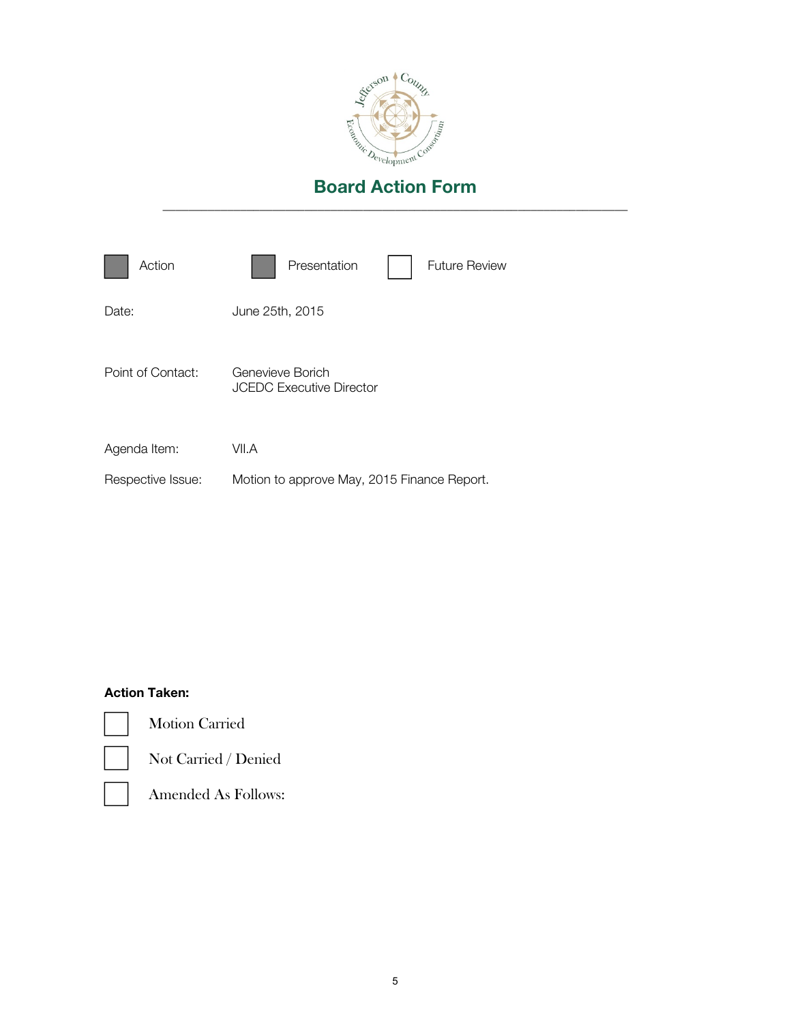

### Board Action Form \_\_\_\_\_\_\_\_\_\_\_\_\_\_\_\_\_\_\_\_\_\_\_\_\_\_\_\_\_\_\_\_\_\_\_\_\_\_\_\_\_\_\_\_\_\_\_\_\_\_\_\_\_\_\_\_\_\_\_\_\_\_\_\_\_\_\_\_\_\_\_\_

| Action            | Presentation<br><b>Future Review</b>                |
|-------------------|-----------------------------------------------------|
| Date:             | June 25th, 2015                                     |
| Point of Contact: | Genevieve Borich<br><b>JCEDC Executive Director</b> |
| Agenda Item:      | VII.A                                               |
| Respective Issue: | Motion to approve May, 2015 Finance Report.         |

### Action Taken:

Motion Carried





Not Carried / Denied



Amended As Follows: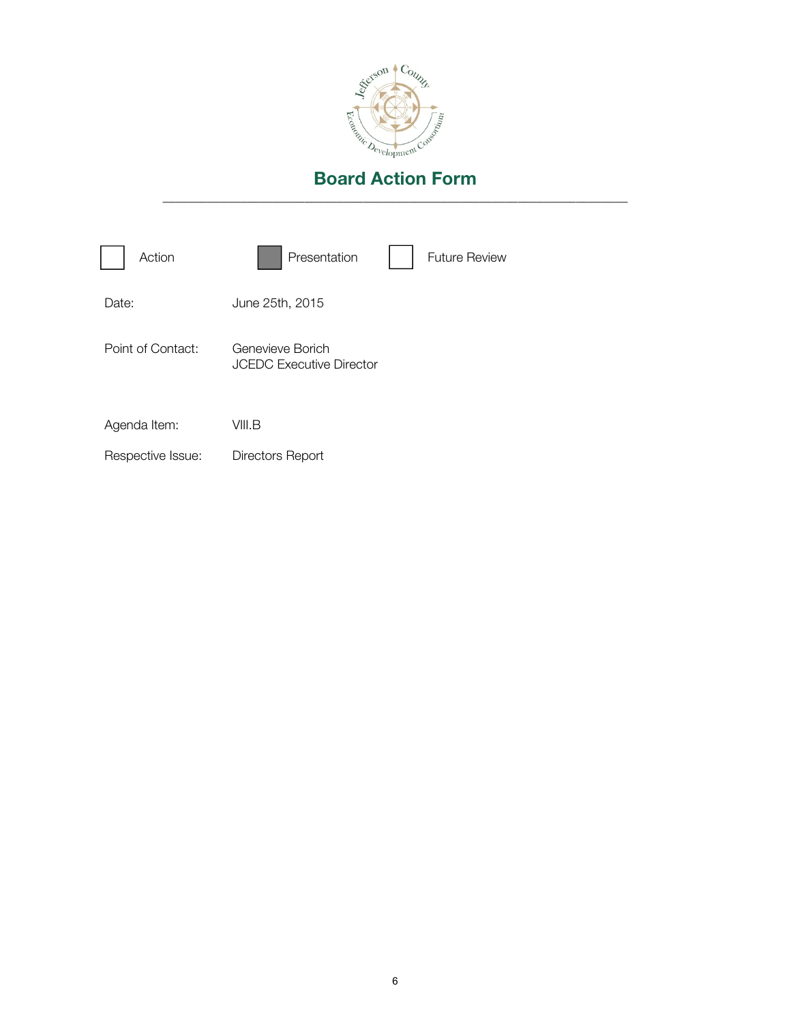

# \_\_\_\_\_\_\_\_\_\_\_\_\_\_\_\_\_\_\_\_\_\_\_\_\_\_\_\_\_\_\_\_\_\_\_\_\_\_\_\_\_\_\_\_\_\_\_\_\_\_\_\_\_\_\_\_\_\_\_\_\_\_\_\_\_\_\_\_\_\_\_\_

| Action            | Presentation                                        | <b>Future Review</b> |
|-------------------|-----------------------------------------------------|----------------------|
| Date:             | June 25th, 2015                                     |                      |
| Point of Contact: | Genevieve Borich<br><b>JCEDC Executive Director</b> |                      |
| Agenda Item:      | VIII.B                                              |                      |
| Respective Issue: | Directors Report                                    |                      |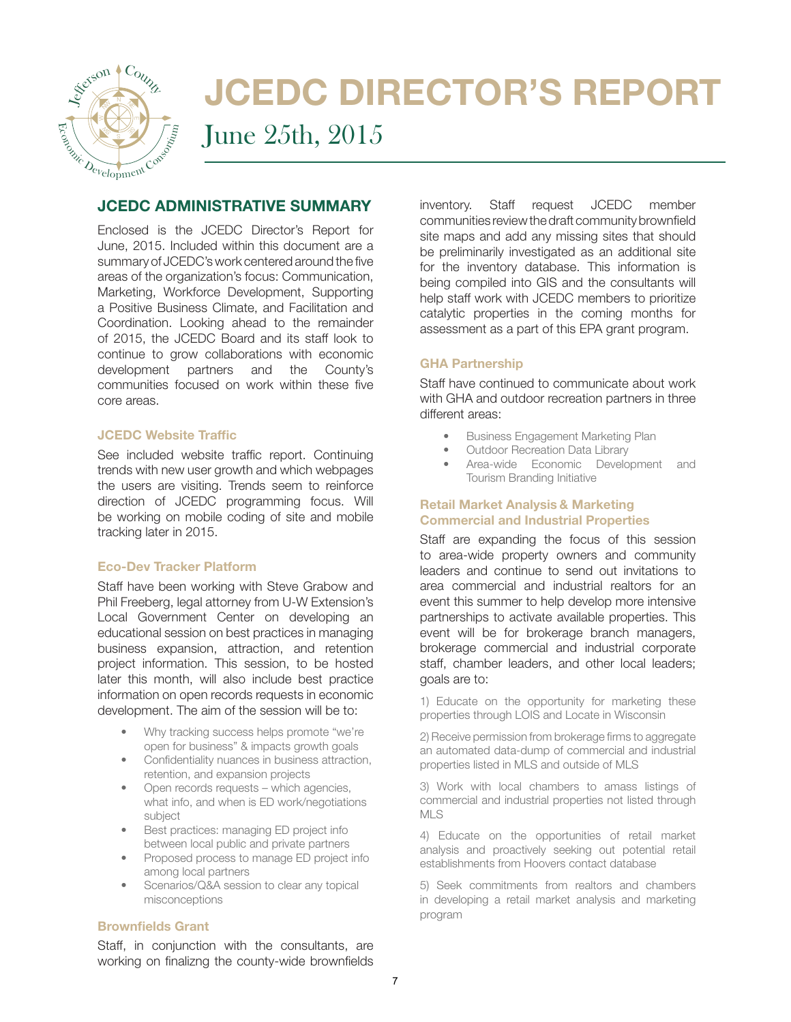

# JCEDC DIRECTOR'S REPORT

June 25th, 2015

### JCEDC ADMINISTRATIVE SUMMARY

Enclosed is the JCEDC Director's Report for June, 2015. Included within this document are a summary of JCEDC's work centered around the five areas of the organization's focus: Communication, Marketing, Workforce Development, Supporting a Positive Business Climate, and Facilitation and Coordination. Looking ahead to the remainder of 2015, the JCEDC Board and its staff look to continue to grow collaborations with economic development partners and the County's communities focused on work within these five core areas.

### JCEDC Website Traffic

See included website traffic report. Continuing trends with new user growth and which webpages the users are visiting. Trends seem to reinforce direction of JCEDC programming focus. Will be working on mobile coding of site and mobile tracking later in 2015.

### Eco-Dev Tracker Platform

Staff have been working with Steve Grabow and Phil Freeberg, legal attorney from U-W Extension's Local Government Center on developing an educational session on best practices in managing business expansion, attraction, and retention project information. This session, to be hosted later this month, will also include best practice information on open records requests in economic development. The aim of the session will be to:

- Why tracking success helps promote "we're open for business" & impacts growth goals
- Confidentiality nuances in business attraction, retention, and expansion projects
- Open records requests which agencies, what info, and when is ED work/negotiations subject
- Best practices: managing ED project info between local public and private partners
- Proposed process to manage ED project info among local partners
- Scenarios/Q&A session to clear any topical misconceptions

### Brownfields Grant

Staff, in conjunction with the consultants, are working on finalizng the county-wide brownfields

inventory. Staff request JCEDC member communities review the draft community brownfield site maps and add any missing sites that should be preliminarily investigated as an additional site for the inventory database. This information is being compiled into GIS and the consultants will help staff work with JCEDC members to prioritize catalytic properties in the coming months for assessment as a part of this EPA grant program.

### GHA Partnership

Staff have continued to communicate about work with GHA and outdoor recreation partners in three different areas:

- Business Engagement Marketing Plan
- Outdoor Recreation Data Library
- Area-wide Economic Development and Tourism Branding Initiative

### Retail Market Analysis & Marketing Commercial and Industrial Properties

Staff are expanding the focus of this session to area-wide property owners and community leaders and continue to send out invitations to area commercial and industrial realtors for an event this summer to help develop more intensive partnerships to activate available properties. This event will be for brokerage branch managers, brokerage commercial and industrial corporate staff, chamber leaders, and other local leaders; goals are to:

1) Educate on the opportunity for marketing these properties through LOIS and Locate in Wisconsin

2) Receive permission from brokerage firms to aggregate an automated data-dump of commercial and industrial properties listed in MLS and outside of MLS

3) Work with local chambers to amass listings of commercial and industrial properties not listed through MLS

4) Educate on the opportunities of retail market analysis and proactively seeking out potential retail establishments from Hoovers contact database

5) Seek commitments from realtors and chambers in developing a retail market analysis and marketing program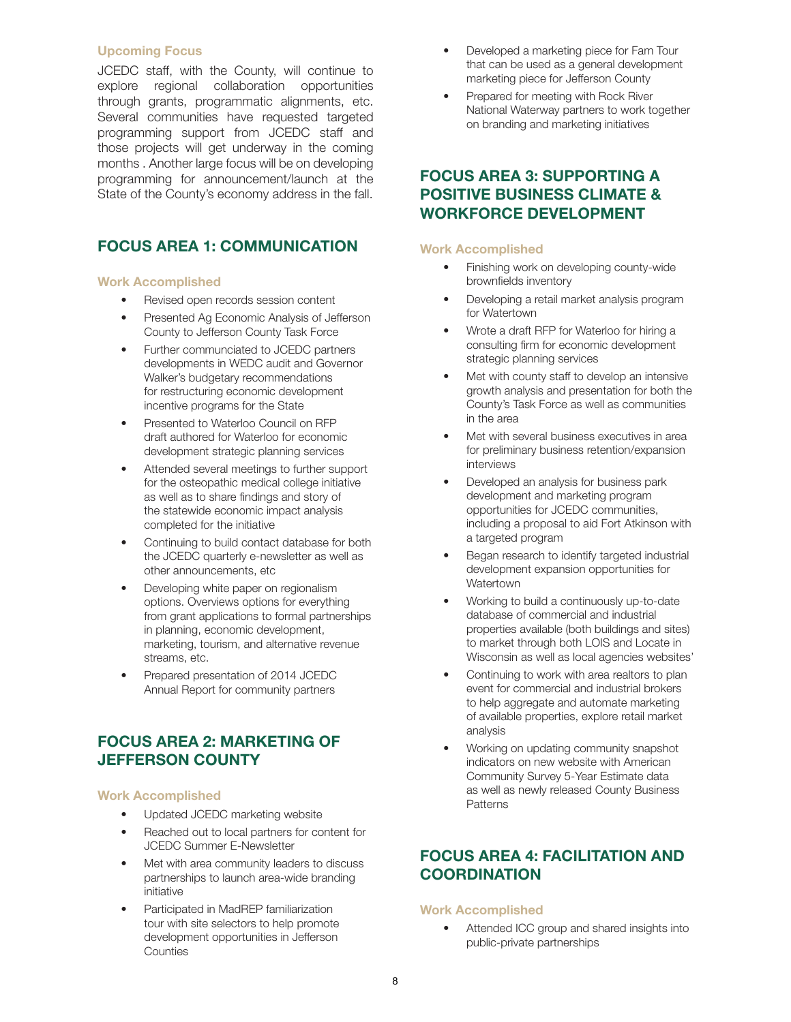### Upcoming Focus

JCEDC staff, with the County, will continue to explore regional collaboration opportunities through grants, programmatic alignments, etc. Several communities have requested targeted programming support from JCEDC staff and those projects will get underway in the coming months . Another large focus will be on developing programming for announcement/launch at the State of the County's economy address in the fall.

### FOCUS AREA 1: COMMUNICATION

### Work Accomplished

- Revised open records session content
- Presented Ag Economic Analysis of Jefferson County to Jefferson County Task Force
- Further communciated to JCEDC partners developments in WEDC audit and Governor Walker's budgetary recommendations for restructuring economic development incentive programs for the State
- Presented to Waterloo Council on RFP draft authored for Waterloo for economic development strategic planning services
- Attended several meetings to further support for the osteopathic medical college initiative as well as to share findings and story of the statewide economic impact analysis completed for the initiative
- Continuing to build contact database for both the JCEDC quarterly e-newsletter as well as other announcements, etc
- Developing white paper on regionalism options. Overviews options for everything from grant applications to formal partnerships in planning, economic development, marketing, tourism, and alternative revenue streams, etc.
- Prepared presentation of 2014 JCEDC Annual Report for community partners

### FOCUS AREA 2: MARKETING OF JEFFERSON COUNTY

### Work Accomplished

- Updated JCEDC marketing website
- Reached out to local partners for content for JCEDC Summer E-Newsletter
- Met with area community leaders to discuss partnerships to launch area-wide branding initiative
- Participated in MadREP familiarization tour with site selectors to help promote development opportunities in Jefferson **Counties**
- Developed a marketing piece for Fam Tour that can be used as a general development marketing piece for Jefferson County
- Prepared for meeting with Rock River National Waterway partners to work together on branding and marketing initiatives

### FOCUS AREA 3: SUPPORTING A POSITIVE BUSINESS CLIMATE & WORKFORCE DEVELOPMENT

### Work Accomplished

- Finishing work on developing county-wide brownfields inventory
- Developing a retail market analysis program for Watertown
- Wrote a draft RFP for Waterloo for hiring a consulting firm for economic development strategic planning services
- Met with county staff to develop an intensive growth analysis and presentation for both the County's Task Force as well as communities in the area
- Met with several business executives in area for preliminary business retention/expansion interviews
- Developed an analysis for business park development and marketing program opportunities for JCEDC communities, including a proposal to aid Fort Atkinson with a targeted program
- Began research to identify targeted industrial development expansion opportunities for **Watertown**
- Working to build a continuously up-to-date database of commercial and industrial properties available (both buildings and sites) to market through both LOIS and Locate in Wisconsin as well as local agencies websites'
- Continuing to work with area realtors to plan event for commercial and industrial brokers to help aggregate and automate marketing of available properties, explore retail market analysis
- Working on updating community snapshot indicators on new website with American Community Survey 5-Year Estimate data as well as newly released County Business Patterns

### FOCUS AREA 4: FACILITATION AND **COORDINATION**

### Work Accomplished

• Attended ICC group and shared insights into public-private partnerships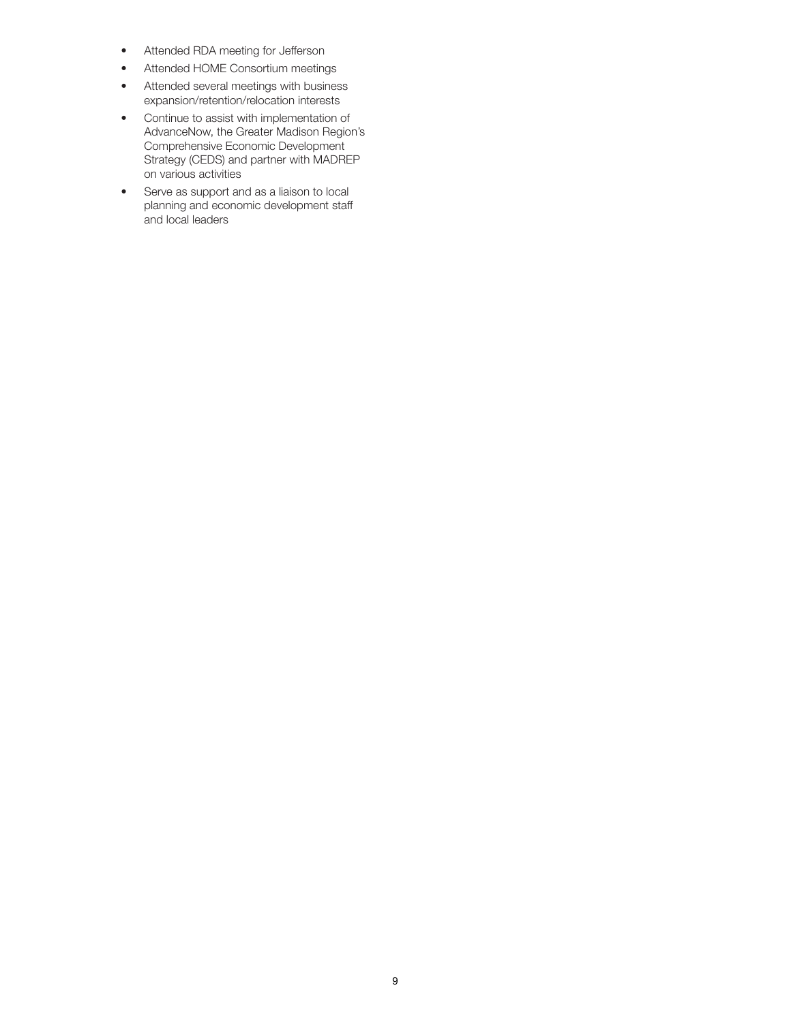- Attended RDA meeting for Jefferson
- Attended HOME Consortium meetings
- Attended several meetings with business expansion/retention/relocation interests
- Continue to assist with implementation of AdvanceNow, the Greater Madison Region's Comprehensive Economic Development Strategy (CEDS) and partner with MADREP on various activities
- Serve as support and as a liaison to local planning and economic development staff and local leaders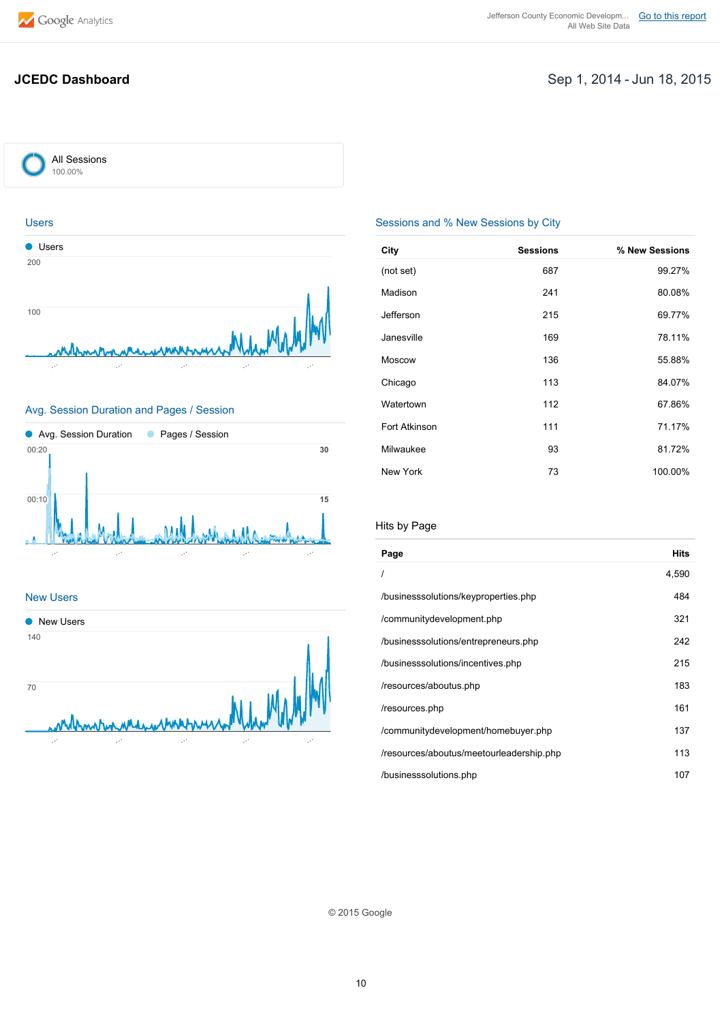

### **JCEDC Dashboard** Sep 1, 2014 - Jun 18, 2015









### Avg. Session Duration and Pages / Session

### New Users



### Sessions and % New Sessions by City

| City          | <b>Sessions</b> | % New Sessions |
|---------------|-----------------|----------------|
| (not set)     | 687             | 99.27%         |
| Madison       | 241             | 80.08%         |
| Jefferson     | 215             | 69.77%         |
| Janesville    | 169             | 78.11%         |
| <b>Moscow</b> | 136             | 55.88%         |
| Chicago       | 113             | 84.07%         |
| Watertown     | 112             | 67.86%         |
| Fort Atkinson | 111             | 71.17%         |
| Milwaukee     | 93              | 81.72%         |
| New York      | 73              | 100.00%        |

### Hits by Page

| Page                                     | Hits  |
|------------------------------------------|-------|
| I                                        | 4,590 |
| /businesssolutions/keyproperties.php     | 484   |
| /communitydevelopment.php                | 321   |
| /businesssolutions/entrepreneurs.php     | 242   |
| /businesssolutions/incentives.php        | 215   |
| /resources/aboutus.php                   | 183   |
| /resources.php                           | 161   |
| /communitydevelopment/homebuyer.php      | 137   |
| /resources/aboutus/meetourleadership.php | 113   |
| /businesssolutions.php                   | 107   |

© 2015 Google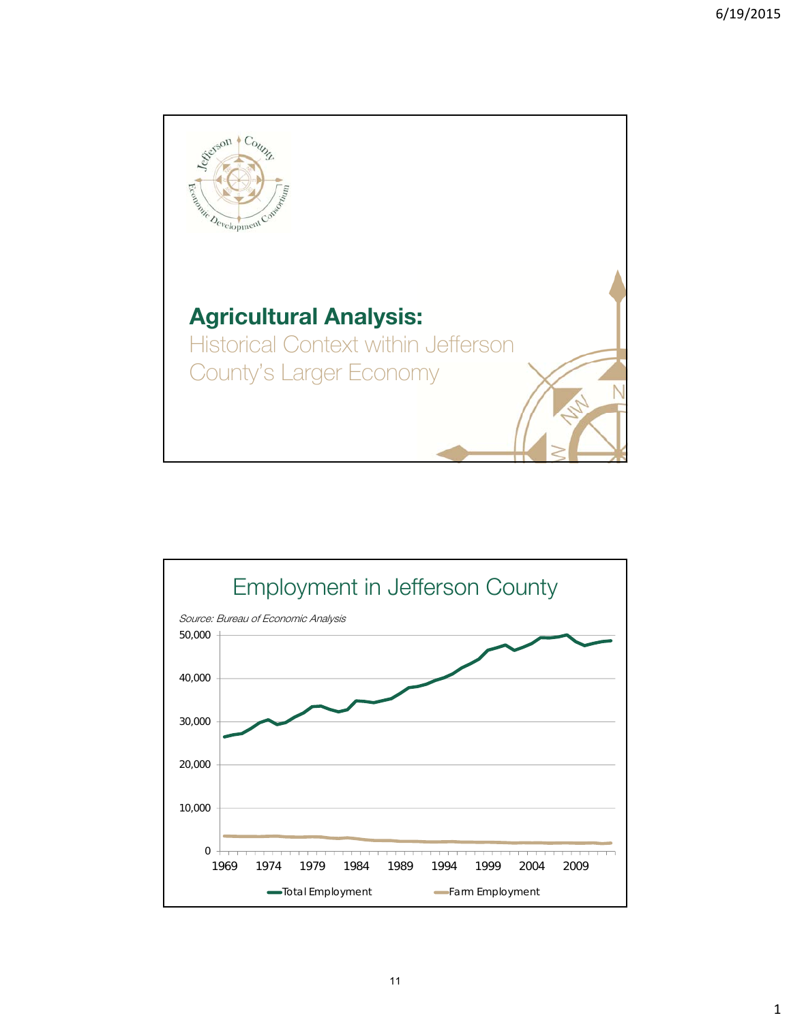

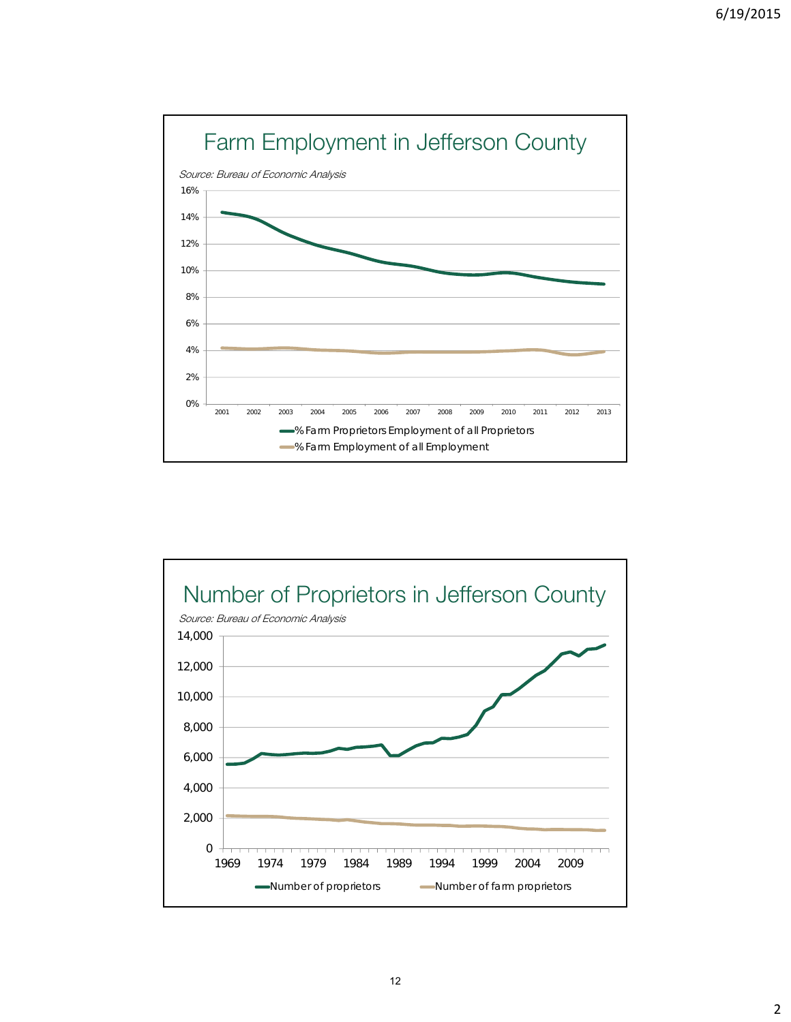

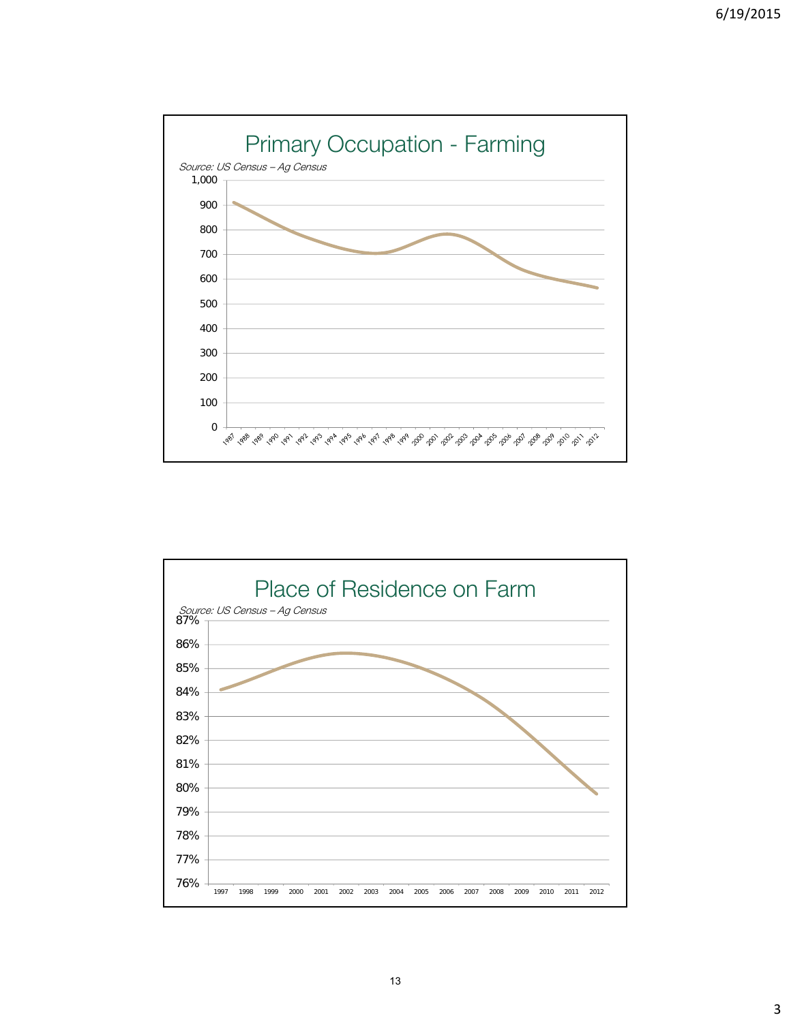

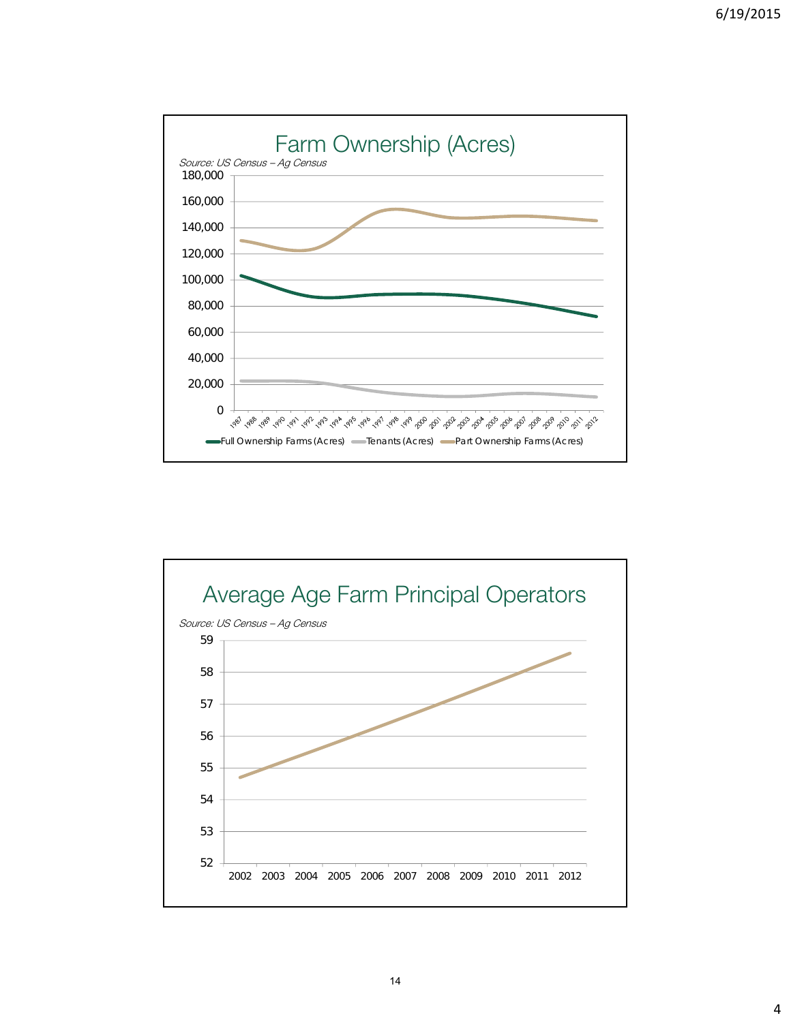

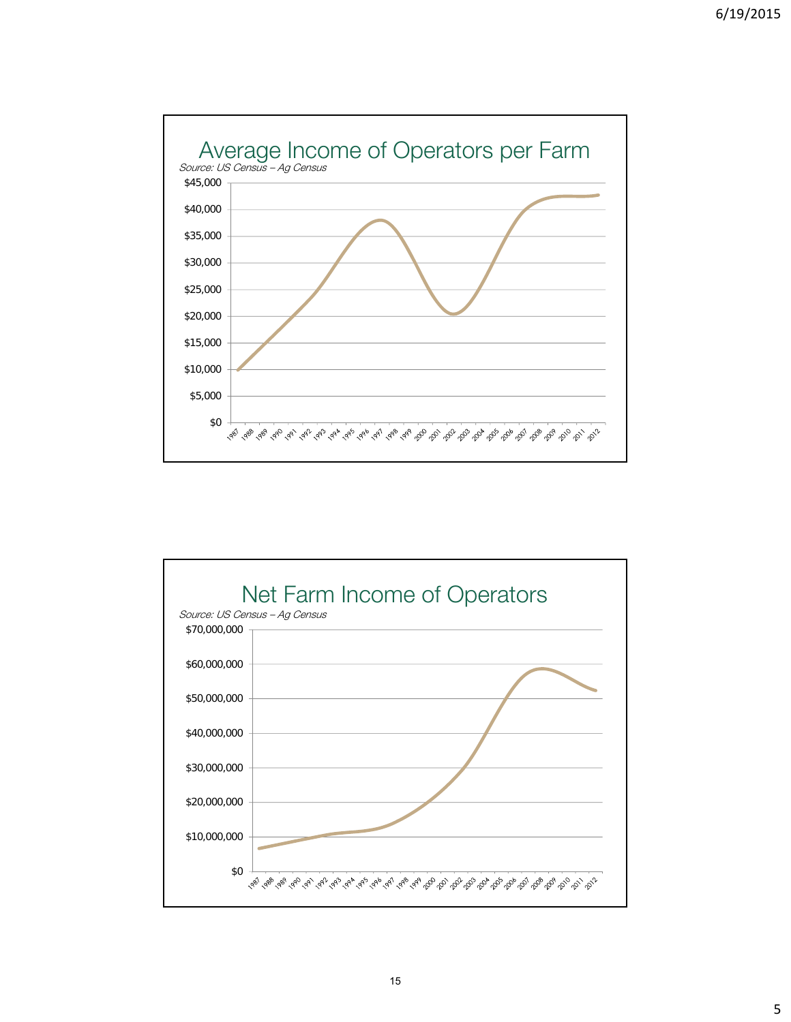

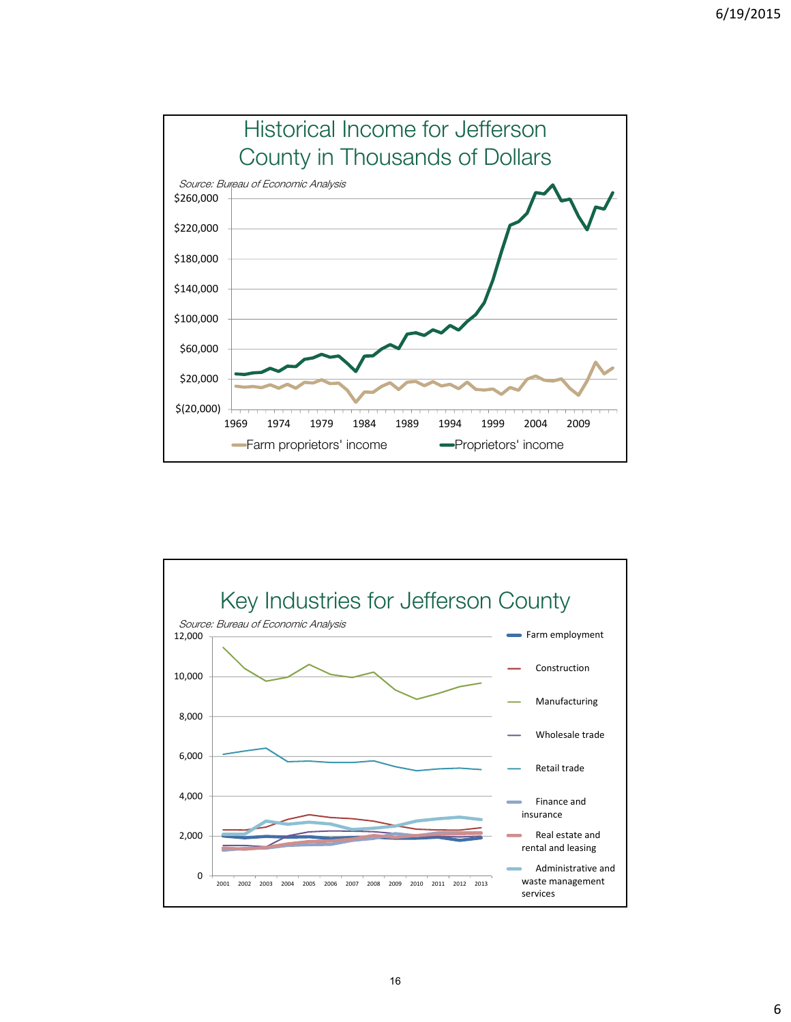

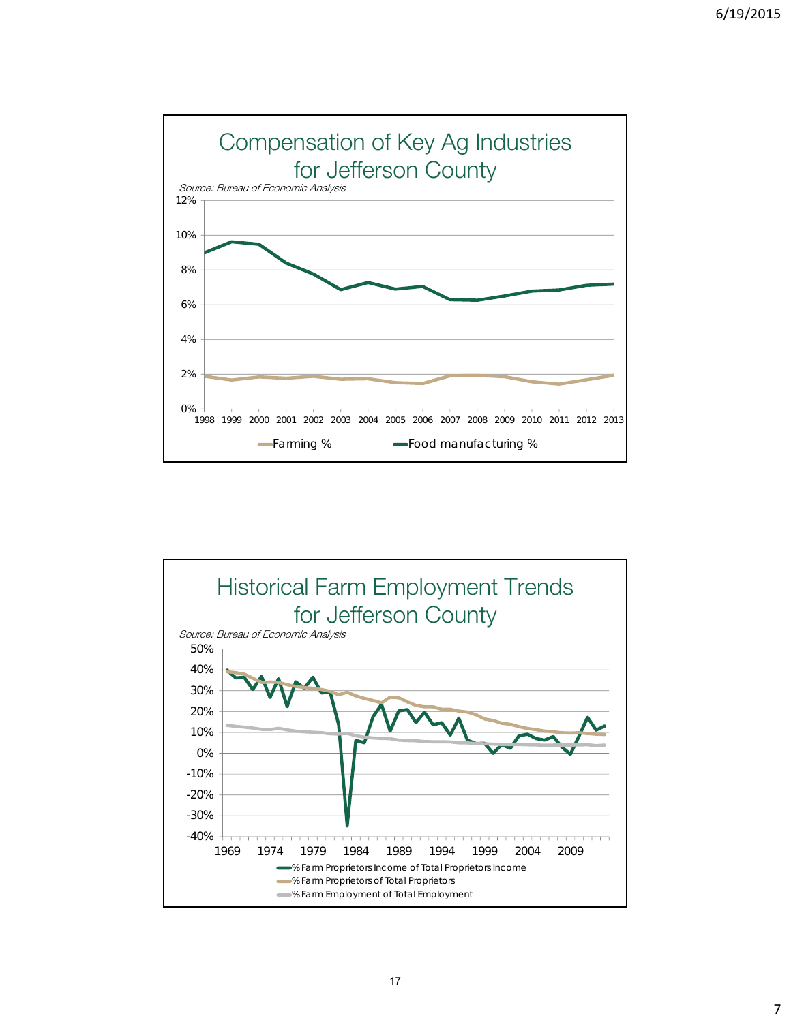

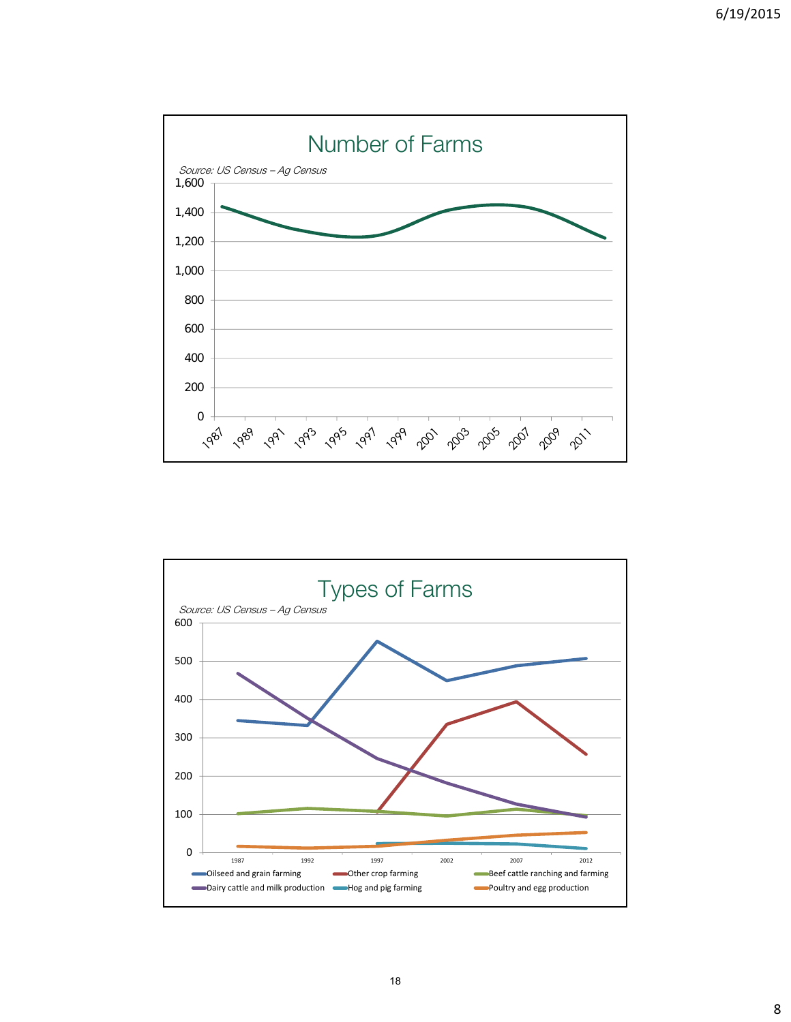

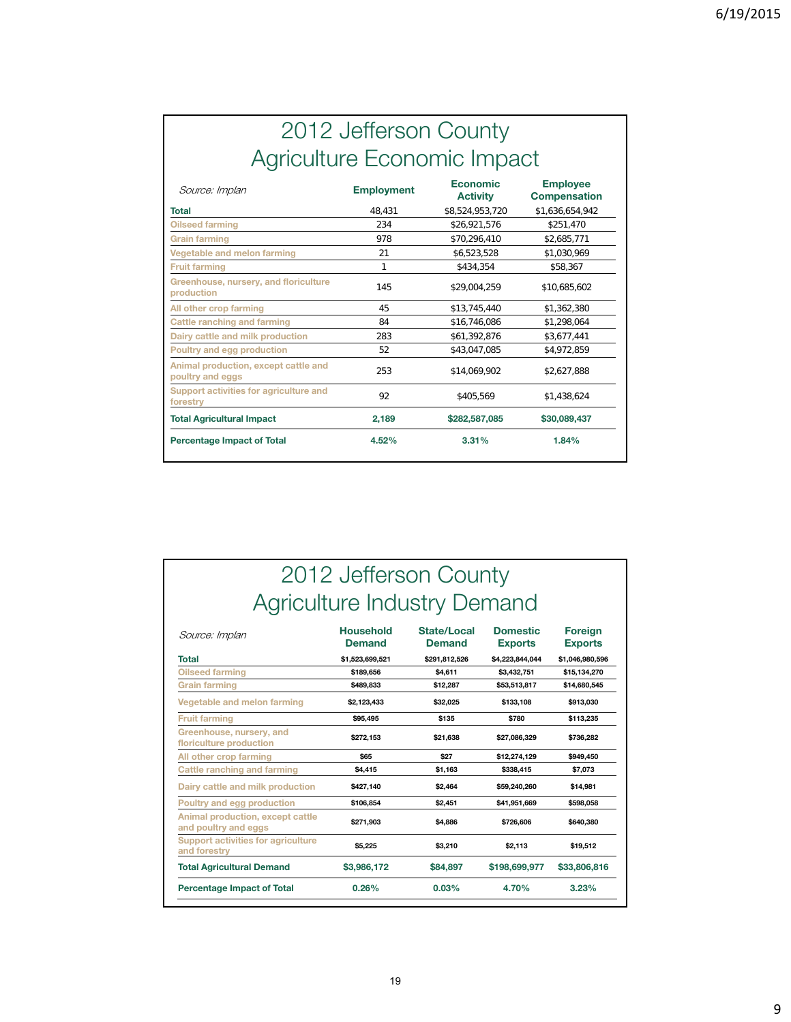# 2012 Jefferson County Agriculture Economic Impact

| Source: Implan                                           | <b>Employment</b> | <b>Economic</b><br><b>Activity</b> | <b>Employee</b><br><b>Compensation</b> |
|----------------------------------------------------------|-------------------|------------------------------------|----------------------------------------|
| Total                                                    | 48,431            | \$8,524,953,720                    | \$1,636,654,942                        |
| <b>Oilseed farming</b>                                   | 234               | \$26,921,576                       | \$251,470                              |
| <b>Grain farming</b>                                     | 978               | \$70,296,410                       | \$2,685,771                            |
| Vegetable and melon farming                              | 21                | \$6,523,528                        | \$1,030,969                            |
| <b>Fruit farming</b>                                     | 1                 | \$434,354                          | \$58,367                               |
| Greenhouse, nursery, and floriculture<br>production      | 145               | \$29,004,259                       | \$10,685,602                           |
| All other crop farming                                   | 45                | \$13,745,440                       | \$1,362,380                            |
| Cattle ranching and farming                              | 84                | \$16,746,086                       | \$1,298,064                            |
| Dairy cattle and milk production                         | 283               | \$61,392,876                       | \$3,677,441                            |
| Poultry and egg production                               | 52                | \$43,047,085                       | \$4,972,859                            |
| Animal production, except cattle and<br>poultry and eggs | 253               | \$14,069,902                       | \$2,627,888                            |
| Support activities for agriculture and<br>forestry       | 92                | \$405,569                          | \$1,438,624                            |
| <b>Total Agricultural Impact</b>                         | 2,189             | \$282,587,085                      | \$30,089,437                           |
| <b>Percentage Impact of Total</b>                        | 4.52%             | 3.31%                              | 1.84%                                  |

# 2012 Jefferson County Agriculture Industry Demand

| <b>Household</b><br><b>Demand</b> | <b>State/Local</b><br><b>Demand</b> | <b>Domestic</b><br><b>Exports</b> | Foreign<br><b>Exports</b> |
|-----------------------------------|-------------------------------------|-----------------------------------|---------------------------|
| \$1,523,699,521                   | \$291,812,526                       | \$4.223.844.044                   | \$1,046,980,596           |
| \$189.656                         | \$4.611                             | \$3,432,751                       | \$15,134,270              |
| \$489.833                         | \$12,287                            | \$53,513,817                      | \$14,680,545              |
| \$2,123,433                       | \$32,025                            | \$133,108                         | \$913,030                 |
| \$95.495                          | \$135                               | \$780                             | \$113,235                 |
| \$272.153                         | \$21,638                            | \$27,086,329                      | \$736,282                 |
| \$65                              | \$27                                | \$12,274,129                      | \$949,450                 |
| \$4,415                           | \$1,163                             | \$338,415                         | \$7,073                   |
| \$427,140                         | \$2,464                             | \$59,240,260                      | \$14,981                  |
| \$106,854                         | \$2,451                             | \$41,951,669                      | \$598,058                 |
| \$271,903                         | \$4,886                             | \$726,606                         | \$640,380                 |
| \$5,225                           | \$3,210                             | \$2,113                           | \$19,512                  |
| \$3,986,172                       | \$84,897                            | \$198,699,977                     | \$33,806,816              |
| 0.26%                             | 0.03%                               | 4.70%                             | 3.23%                     |
|                                   |                                     |                                   |                           |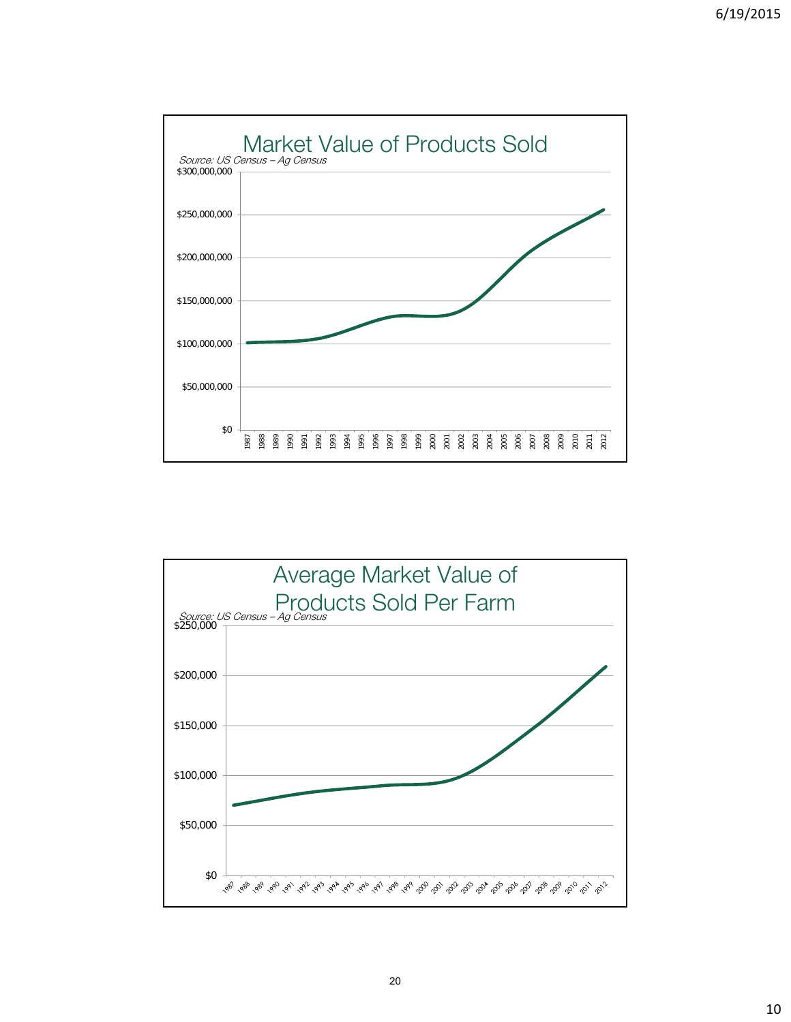



20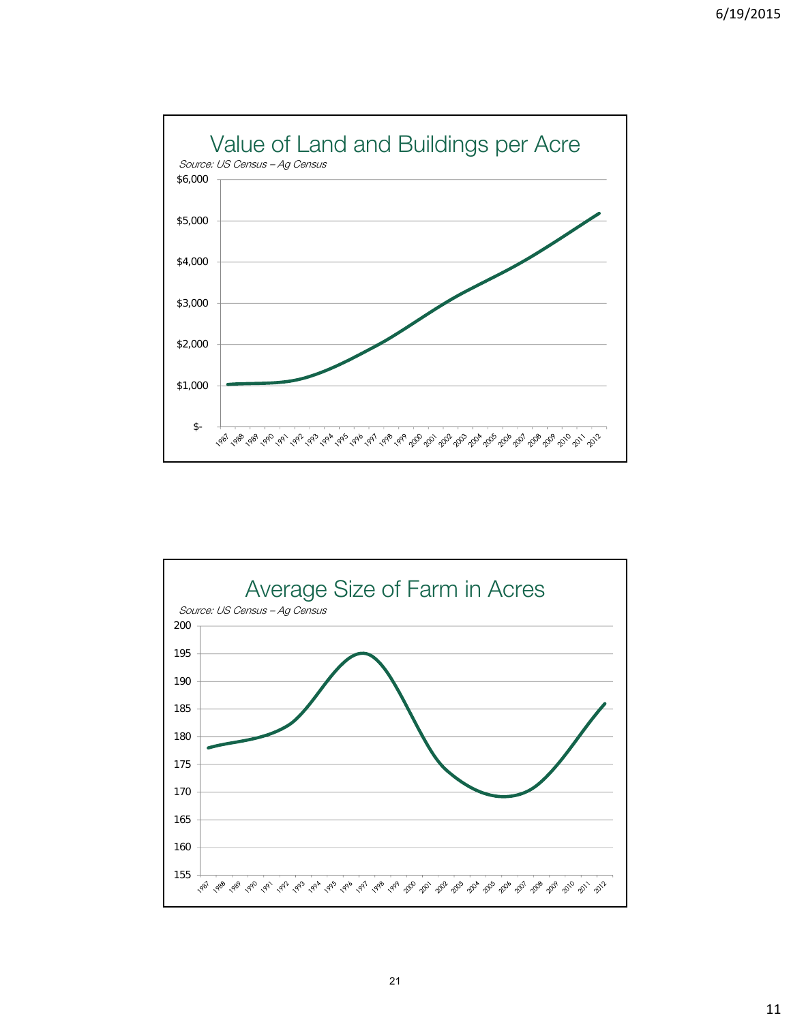



21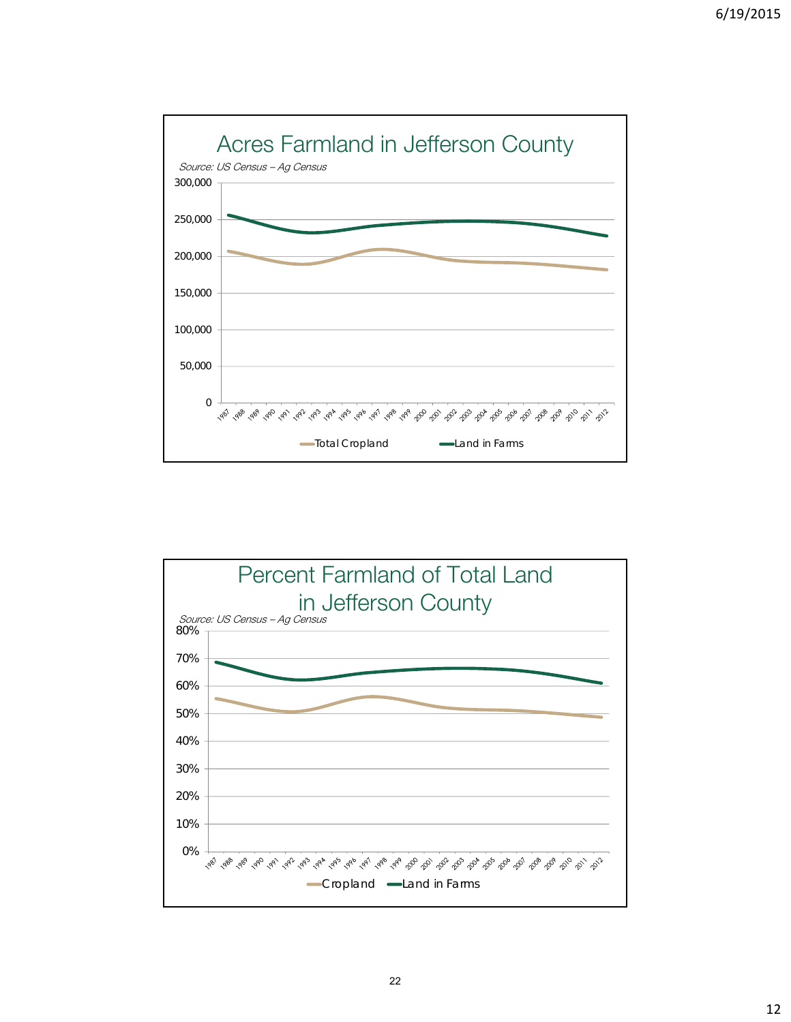

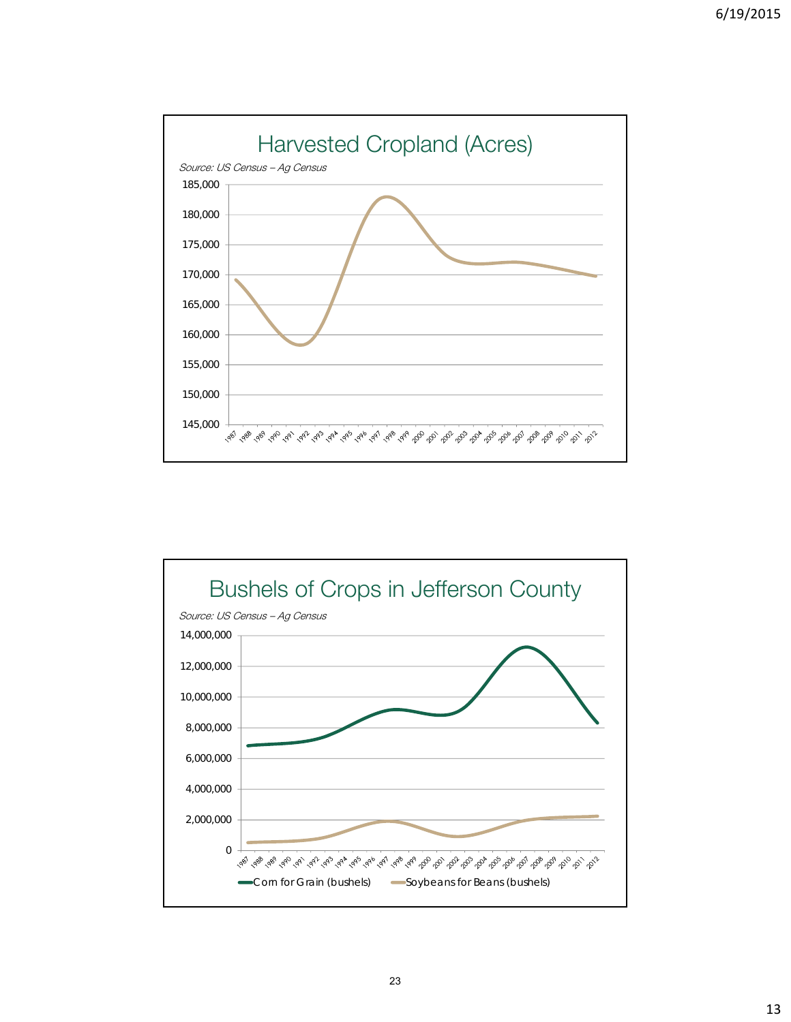

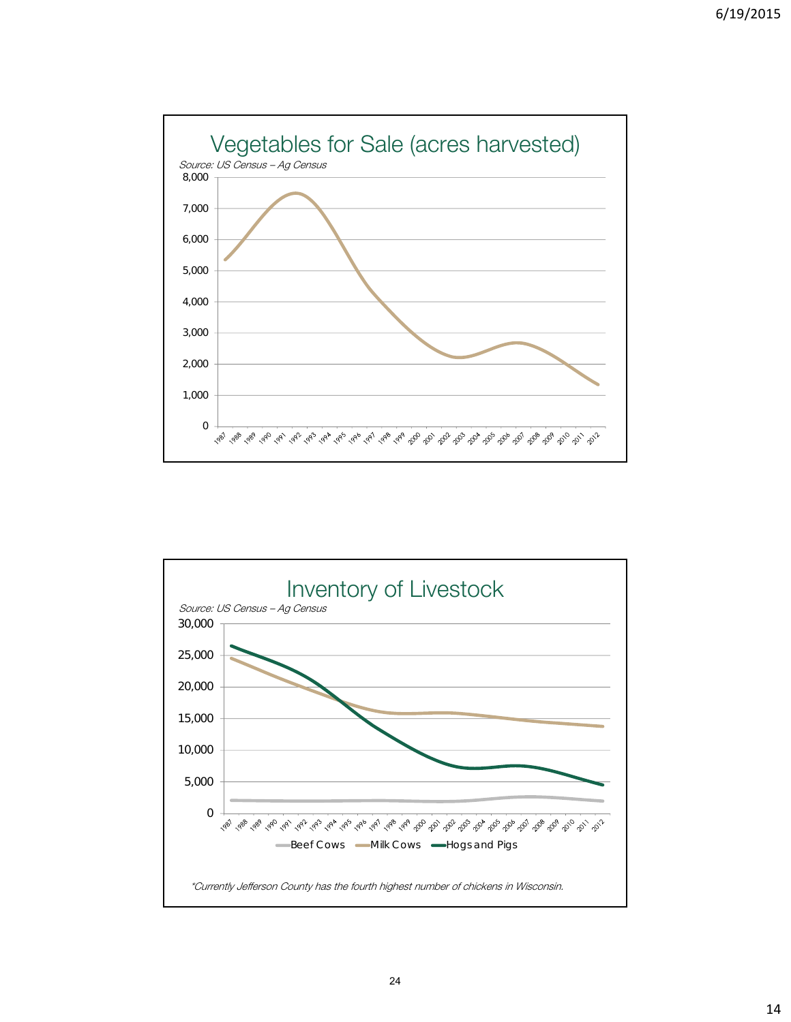